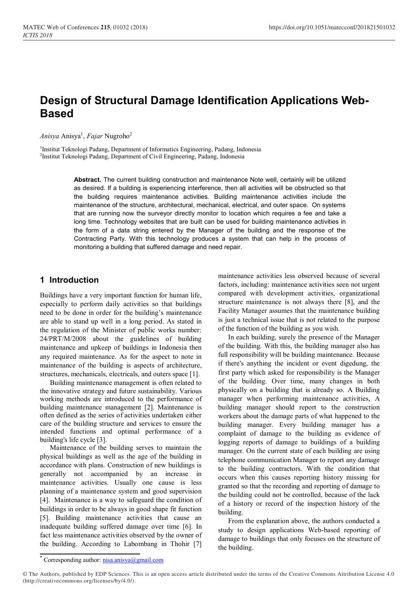# **Design of Structural Damage Identification Applications Web-Based**

*Anisya* Anisya<sup>1</sup> , *Fajar* Nugroho<sup>2</sup>

<sup>1</sup>Institut Teknologi Padang, Department of Informatics Engineering, Padang, Indonesia 2 Institut Teknologi Padang, Department of Civil Engineering, Padang, Indonesia

> **Abstract.** The current building construction and maintenance Note well, certainly will be utilized as desired. If a building is experiencing interference, then all activities will be obstructed so that the building requires maintenance activities. Building maintenance activities include the maintenance of the structure, architectural, mechanical, electrical, and outer space. On systems that are running now the surveyor directly monitor to location which requires a fee and take a long time. Technology websites that are built can be used for building maintenance activities in the form of a data string entered by the Manager of the building and the response of the Contracting Party. With this technology produces a system that can help in the process of monitoring a building that suffered damage and need repair.

# **1 Introduction**

Buildings have a very important function for human life, especially to perform daily activities so that buildings need to be done in order for the building's maintenance are able to stand up well in a long period. As stated in the regulation of the Minister of public works number: 24/PRT/M/2008 about the guidelines of building maintenance and upkeep of buildings in Indonesia then any required maintenance. As for the aspect to note in maintenance of the building is aspects of architecture, structures, mechanicals, electricals, and outers space [1].

Building maintenance management is often related to the innovative strategy and future sustainability. Various working methods are introduced to the performance of building maintenance management [2]. Maintenance is often defined as the series of activities undertaken either care of the building structure and services to ensure the intended functions and optimal performance of a building's life cycle [3].

Maintenance of the building serves to maintain the physical buildings as well as the age of the building in accordance with plans. Construction of new buildings is generally not accompanied by an increase in maintenance activities. Usually one cause is less planning of a maintenance system and good supervision [4]. Maintenance is a way to safeguard the condition of buildings in order to be always in good shape fit function [5]. Building maintenance activities that cause an inadequate building suffered damage over time [6]. In fact less maintenance activities observed by the owner of the building. According to Labombang in Thohir [7]

maintenance activities less observed because of several factors, including: maintenance activities seen not urgent compared with development activities, organizational structure maintenance is not always there [8], and the Facility Manager assumes that the maintenance building is just a technical issue that is not related to the purpose of the function of the building as you wish.

In each building, surely the presence of the Manager of the building. With this, the building manager also has full responsibility will be building maintenance. Because if there's anything the incident or event digedung, the first party which asked for responsibility is the Manager of the building. Over time, many changes in both physically on a building that is already so. A Building manager when performing maintenance activities, A building manager should report to the construction workers about the damage parts of what happened to the building manager. Every building manager has a complaint of damage to the building as evidence of logging reports of damage to buildings of a building manager. On the current state of each building are using telephone communication Manager to report any damage to the building contractors. With the condition that occurs when this causes reporting history missing for granted so that the recording and reporting of damage to the building could not be controlled, because of the lack of a history or record of the inspection history of the building.

From the explanation above, the authors conducted a study to design applications Web-based reporting of damage to buildings that only focuses on the structure of the building.

<sup>\*</sup> Corresponding author[: nisa.anisya@gmail.com](mailto:nisa.anisya@gmail.com)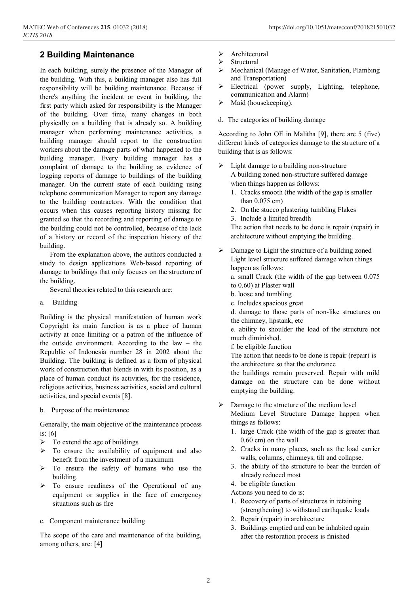# **2 Building Maintenance**

In each building, surely the presence of the Manager of the building. With this, a building manager also has full responsibility will be building maintenance. Because if there's anything the incident or event in building, the first party which asked for responsibility is the Manager of the building. Over time, many changes in both physically on a building that is already so. A building manager when performing maintenance activities, a building manager should report to the construction workers about the damage parts of what happened to the building manager. Every building manager has a complaint of damage to the building as evidence of logging reports of damage to buildings of the building manager. On the current state of each building using telephone communication Manager to report any damage to the building contractors. With the condition that occurs when this causes reporting history missing for granted so that the recording and reporting of damage to the building could not be controlled, because of the lack of a history or record of the inspection history of the building.

From the explanation above, the authors conducted a study to design applications Web-based reporting of damage to buildings that only focuses on the structure of the building.

Several theories related to this research are:

a. Building

Building is the physical manifestation of human work Copyright its main function is as a place of human activity at once limiting or a patron of the influence of the outside environment. According to the law – the Republic of Indonesia number 28 in 2002 about the Building. The building is defined as a form of physical work of construction that blends in with its position, as a place of human conduct its activities, for the residence, religious activities, business activities, social and cultural activities, and special events [8].

b. Purpose of the maintenance

Generally, the main objective of the maintenance process is:  $[6]$ 

- $\triangleright$  To extend the age of buildings
- $\triangleright$  To ensure the availability of equipment and also benefit from the investment of a maximum
- $\triangleright$  To ensure the safety of humans who use the building.
- $\triangleright$  To ensure readiness of the Operational of any equipment or supplies in the face of emergency situations such as fire
- c. Component maintenance building

The scope of the care and maintenance of the building, among others, are: [4]

- $\triangleright$  Architectural
- $\triangleright$  Structural
- Mechanical (Manage of Water, Sanitation, Plambing and Transportation)
- Electrical (power supply, Lighting, telephone, communication and Alarm)
- $\triangleright$  Maid (housekeeping).
- d. The categories of building damage

According to John OE in Malitha [9], there are 5 (five) different kinds of categories damage to the structure of a building that is as follows:

- $\triangleright$  Light damage to a building non-structure A building zoned non-structure suffered damage when things happen as follows:
	- 1. Cracks smooth (the width of the gap is smaller than 0.075 cm)
	- 2. On the stucco plastering tumbling Flakes
	- 3. Include a limited breadth

The action that needs to be done is repair (repair) in architecture without emptying the building.

 $\triangleright$  Damage to Light the structure of a building zoned Light level structure suffered damage when things happen as follows:

a. small Crack (the width of the gap between 0.075 to 0.60) at Plaster wall

- b. loose and tumbling
- c. Includes spacious great

d. damage to those parts of non-like structures on the chimney, lipstank, etc

e. ability to shoulder the load of the structure not much diminished.

f. be eligible function

The action that needs to be done is repair (repair) is the architecture so that the endurance

the buildings remain preserved. Repair with mild damage on the structure can be done without emptying the building.

- $\triangleright$  Damage to the structure of the medium level Medium Level Structure Damage happen when things as follows:
	- 1. large Crack (the width of the gap is greater than 0.60 cm) on the wall
	- 2. Cracks in many places, such as the load carrier walls, columns, chimneys, tilt and collapse.
	- 3. the ability of the structure to bear the burden of already reduced most
	- 4. be eligible function
	- Actions you need to do is:
	- 1. Recovery of parts of structures in retaining (strengthening) to withstand earthquake loads
	- 2. Repair (repair) in architecture
	- 3. Buildings emptied and can be inhabited again after the restoration process is finished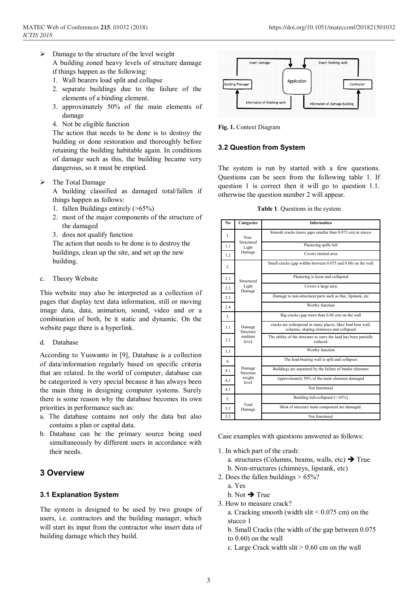- $\triangleright$  Damage to the structure of the level weight A building zoned heavy levels of structure damage if things happen as the following:
	- 1. Wall bearers load split and collapse
	- 2. separate buildings due to the failure of the elements of a binding element.
	- 3. approximately 50% of the main elements of damage
	- 4. Not be eligible function

The action that needs to be done is to destroy the building or done restoration and thoroughly before retaining the building habitable again. In conditions of damage such as this, the building became very dangerous, so it must be emptied.

 $\triangleright$  The Total Damage

A building classified as damaged total/fallen if things happen as follows:

- 1. fallen Buildings entirely (>65%)
- 2. most of the major components of the structure of the damaged
- 3. does not qualify function

The action that needs to be done is to destroy the buildings, clean up the site, and set up the new building.

c. Theory Website

This website may also be interpreted as a collection of pages that display text data information, still or moving image data, data, animation, sound, video and or a combination of both, be it static and dynamic. On the website page there is a hyperlink.

d. Database

According to Yuswanto in [9], Database is a collection of data/information regularly based on specific criteria that are related. In the world of computer, database can be categorized is very special because it has always been the main thing in designing computer systems. Surely there is some reason why the database becomes its own priorities in performance such as:

- a. The database contains not only the data but also contains a plan or capital data.
- b. Database can be the primary source being used simultaneously by different users in accordance with their needs.

# **3 Overview**

#### **3.1 Explanation System**

The system is designed to be used by two groups of users, i.e. contractors and the building manager, which will start its input from the contractor who insert data of building damage which they build.



**Fig. 1.** Context Diagram

#### **3.2 Question from System**

The system is run by started with a few questions. Questions can be seen from the following table 1. If question 1 is correct then it will go to question 1.1. otherwise the question number 2 will appear.

**Table 1**. Questions in the system

| No  | Categories                             | <b>Information</b>                                                                                     |
|-----|----------------------------------------|--------------------------------------------------------------------------------------------------------|
| 1.  | Non-<br>Structured<br>Light<br>Damage  | Smooth cracks (more gaps smaller than 0.075 cm) in stucco                                              |
| 1.1 |                                        | Plastering spills fall                                                                                 |
| 1.2 |                                        | Covers limited area                                                                                    |
| 2.  | Structured<br>Light<br>Damage          | Small cracks (gap widths between 0.075 and 0.60) on the wall                                           |
| 2.1 |                                        | Plastering is loose and collapsed                                                                      |
| 2.2 |                                        | Covers a large area                                                                                    |
| 2.3 |                                        | Damage to non-structural parts such as flue, lipstank, etc                                             |
| 2.4 |                                        | Worthy function                                                                                        |
| 3.  | Damage<br>Structure<br>medium<br>level | Big cracks (gap more than 0.60 cm) on the wall                                                         |
| 3.1 |                                        | cracks are widespread in many places, likes load bear wall,<br>columns, sloping chimneys and collapsed |
| 3.2 |                                        | The ability of the structure to carry the load has been partially<br>reduced                           |
| 3.3 |                                        | Worthy function                                                                                        |
| 4   | Damage<br>Structure<br>weight<br>level | The load-bearing wall is split and collapses                                                           |
| 4.1 |                                        | Buildings are separated by the failure of binder elements                                              |
| 4.2 |                                        | Approximately 50% of the main elements damaged                                                         |
| 4.3 |                                        | Not functional                                                                                         |
| 5.  | Total<br>Damage                        | Building full-collapsed $($ > 65%)                                                                     |
| 5.1 |                                        | Most of structure main component are damaged.                                                          |
| 5.2 |                                        | Not functional                                                                                         |

Case examples with questions answered as follows:

- 1. In which part of the crash:
	- a. structures (Columns, beams, walls, etc)  $\rightarrow$  True
	- b. Non-structures (chimneys, lipstank, etc)
- 2. Does the fallen buildings > 65%?
	- a. Yes
	- b. Not  $\rightarrow$  True
- 3. How to measure crack?
	- a. Cracking smooth (width slit  $< 0.075$  cm) on the stucco 1
	- b. Small Cracks (the width of the gap between 0.075
	- to 0.60) on the wall
	- c. Large Crack width slit > 0.60 cm on the wall